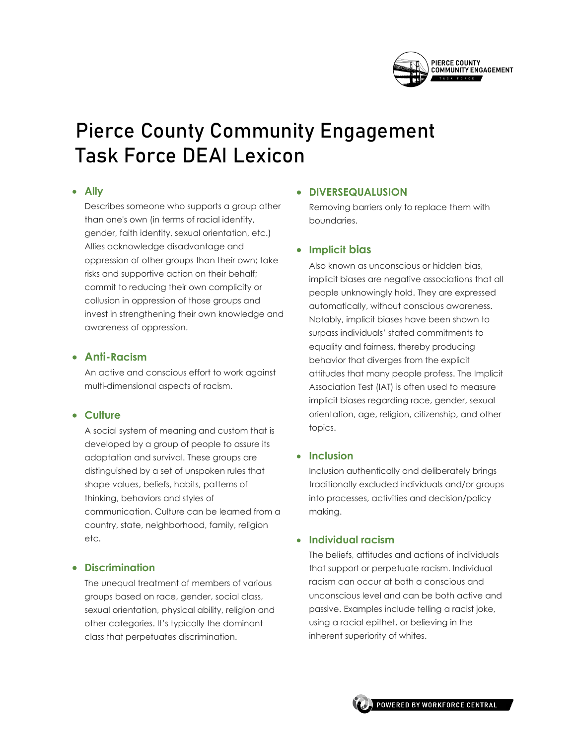

# Pierce County Community Engagement Task Force DEAI Lexicon

#### • **Ally**

Describes someone who supports a group other than one's own (in terms of racial identity, gender, faith identity, sexual orientation, etc.) Allies acknowledge disadvantage and oppression of other groups than their own; take risks and supportive action on their behalf; commit to reducing their own complicity or collusion in oppression of those groups and invest in strengthening their own knowledge and awareness of oppression.

## • **Anti-Racism**

An active and conscious effort to work against multi-dimensional aspects of racism.

## • **Culture**

A social system of meaning and custom that is developed by a group of people to assure its adaptation and survival. These groups are distinguished by a set of unspoken rules that shape values, beliefs, habits, patterns of thinking, behaviors and styles of communication. Culture can be learned from a country, state, neighborhood, family, religion etc.

## • **Discrimination**

The unequal treatment of members of various groups based on race, gender, social class, sexual orientation, physical ability, religion and other categories. It's typically the dominant class that perpetuates discrimination.

#### • **DIVERSEQUALUSION**

Removing barriers only to replace them with boundaries.

## • **Implicit bias**

Also known as unconscious or hidden bias, implicit biases are negative associations that all people unknowingly hold. They are expressed automatically, without conscious awareness. Notably, implicit biases have been shown to surpass individuals' stated commitments to equality and fairness, thereby producing behavior that diverges from the explicit attitudes that many people profess. The Implicit Association Test (IAT) is often used to measure implicit biases regarding race, gender, sexual orientation, age, religion, citizenship, and other topics.

#### • **Inclusion**

Inclusion authentically and deliberately brings traditionally excluded individuals and/or groups into processes, activities and decision/policy making.

## • **Individual racism**

The beliefs, attitudes and actions of individuals that support or perpetuate racism. Individual racism can occur at both a conscious and unconscious level and can be both active and passive. Examples include telling a racist joke, using a racial epithet, or believing in the inherent superiority of whites.